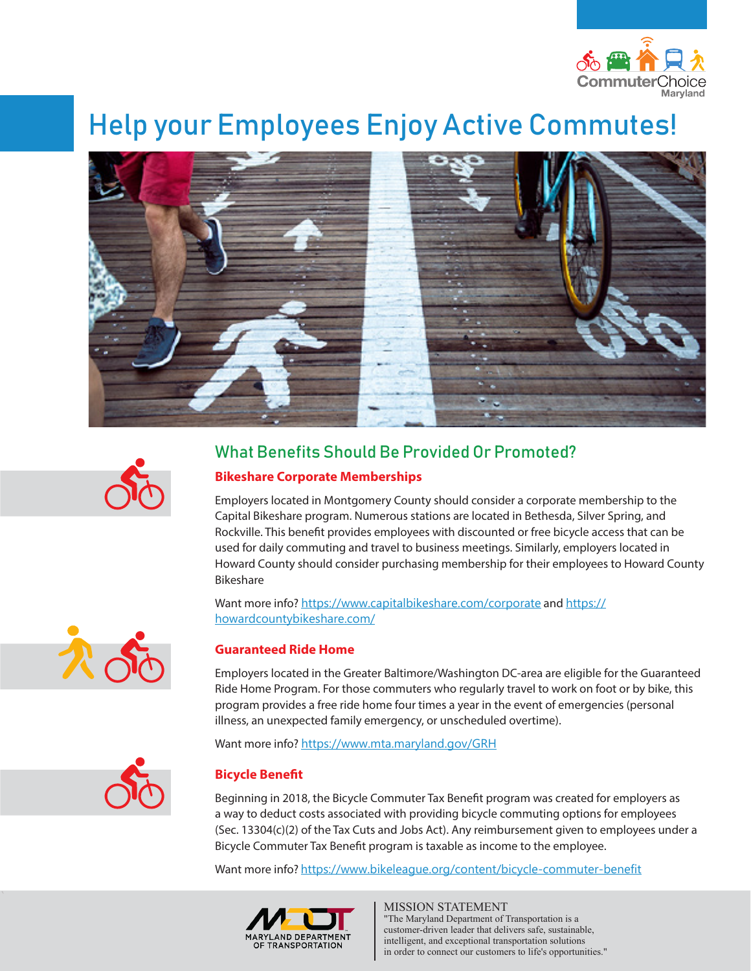

# Help your Employees Enjoy Active Commutes!





## What Benefits Should Be Provided Or Promoted?

### **Bikeshare Corporate Memberships**

Employers located in Montgomery County should consider a corporate membership to the Capital Bikeshare program. Numerous stations are located in Bethesda, Silver Spring, and Rockville. This benefit provides employees with discounted or free bicycle access that can be used for daily commuting and travel to business meetings. Similarly, employers located in Howard County should consider purchasing membership for their employees to Howard County Bikeshare

Want more info? <https://www.capitalbikeshare.com/corporate> and [https://](https://howardcountybikeshare.com/) [howardcountybikeshare.com/](https://howardcountybikeshare.com/)



### **Guaranteed Ride Home**

Employers located in the Greater Baltimore/Washington DC-area are eligible for the Guaranteed Ride Home Program. For those commuters who regularly travel to work on foot or by bike, this program provides a free ride home four times a year in the event of emergencies (personal illness, an unexpected family emergency, or unscheduled overtime).

Want more info? <https://www.mta.maryland.gov/GRH>



## **Bicycle Benefit**

Beginning in 2018, the Bicycle Commuter Tax Benefit program was created for employers as a way to deduct costs associated with providing bicycle commuting options for employees (Sec. 13304(c)(2) of the Tax Cuts and Jobs Act). Any reimbursement given to employees under a Bicycle Commuter Tax Benefit program is taxable as income to the employee.

Want more info? [https://www.bikeleague.org/content/bicycle-commuter-benefit](https://www.bikeleague.org/content/bicycle-commuter-benefit )